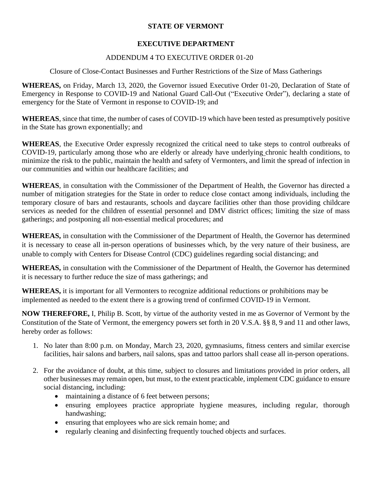## **STATE OF VERMONT**

## **EXECUTIVE DEPARTMENT**

## ADDENDUM 4 TO EXECUTIVE ORDER 01-20

Closure of Close-Contact Businesses and Further Restrictions of the Size of Mass Gatherings

**WHEREAS,** on Friday, March 13, 2020, the Governor issued Executive Order 01-20, Declaration of State of Emergency in Response to COVID-19 and National Guard Call-Out ("Executive Order"), declaring a state of emergency for the State of Vermont in response to COVID-19; and

**WHEREAS**, since that time, the number of cases of COVID-19 which have been tested as presumptively positive in the State has grown exponentially; and

**WHEREAS**, the Executive Order expressly recognized the critical need to take steps to control outbreaks of COVID-19, particularly among those who are elderly or already have underlying chronic health conditions, to minimize the risk to the public, maintain the health and safety of Vermonters, and limit the spread of infection in our communities and within our healthcare facilities; and

**WHEREAS**, in consultation with the Commissioner of the Department of Health, the Governor has directed a number of mitigation strategies for the State in order to reduce close contact among individuals, including the temporary closure of bars and restaurants, schools and daycare facilities other than those providing childcare services as needed for the children of essential personnel and DMV district offices; limiting the size of mass gatherings; and postponing all non-essential medical procedures; and

**WHEREAS,** in consultation with the Commissioner of the Department of Health, the Governor has determined it is necessary to cease all in-person operations of businesses which, by the very nature of their business, are unable to comply with Centers for Disease Control (CDC) guidelines regarding social distancing; and

**WHEREAS,** in consultation with the Commissioner of the Department of Health, the Governor has determined it is necessary to further reduce the size of mass gatherings; and

**WHEREAS,** it is important for all Vermonters to recognize additional reductions or prohibitions may be implemented as needed to the extent there is a growing trend of confirmed COVID-19 in Vermont.

**NOW THEREFORE,** I, Philip B. Scott, by virtue of the authority vested in me as Governor of Vermont by the Constitution of the State of Vermont, the emergency powers set forth in 20 V.S.A. §§ 8, 9 and 11 and other laws, hereby order as follows:

- 1. No later than 8:00 p.m. on Monday, March 23, 2020, gymnasiums, fitness centers and similar exercise facilities, hair salons and barbers, nail salons, spas and tattoo parlors shall cease all in-person operations.
- 2. For the avoidance of doubt, at this time, subject to closures and limitations provided in prior orders, all other businesses may remain open, but must, to the extent practicable, implement CDC guidance to ensure social distancing, including:
	- maintaining a distance of 6 feet between persons;
	- ensuring employees practice appropriate hygiene measures, including regular, thorough handwashing;
	- ensuring that employees who are sick remain home; and
	- regularly cleaning and disinfecting frequently touched objects and surfaces.